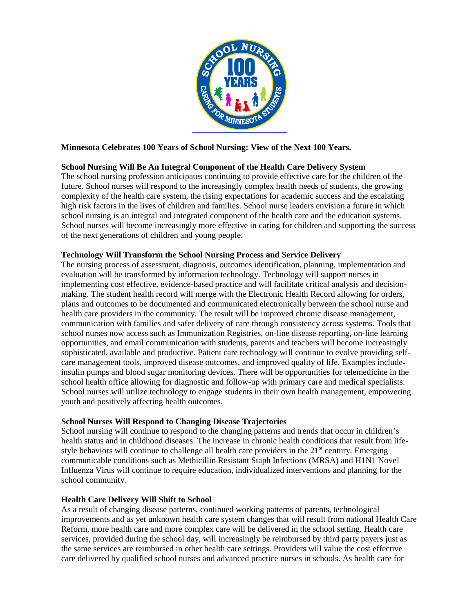

# **Minnesota Celebrates 100 Years of School Nursing: View of the Next 100 Years.**

# **School Nursing Will Be An Integral Component of the Health Care Delivery System**

The school nursing profession anticipates continuing to provide effective care for the children of the future. School nurses will respond to the increasingly complex health needs of students, the growing complexity of the health care system, the rising expectations for academic success and the escalating high risk factors in the lives of children and families. School nurse leaders envision a future in which school nursing is an integral and integrated component of the health care and the education systems. School nurses will become increasingly more effective in caring for children and supporting the success of the next generations of children and young people.

### **Technology Will Transform the School Nursing Process and Service Delivery**

The nursing process of assessment, diagnosis, outcomes identification, planning, implementation and evaluation will be transformed by information technology. Technology will support nurses in implementing cost effective, evidence-based practice and will facilitate critical analysis and decisionmaking. The student health record will merge with the Electronic Health Record allowing for orders, plans and outcomes to be documented and communicated electronically between the school nurse and health care providers in the community. The result will be improved chronic disease management, communication with families and safer delivery of care through consistency across systems. Tools that school nurses now access such as Immunization Registries, on-line disease reporting, on-line learning opportunities, and email communication with students, parents and teachers will become increasingly sophisticated, available and productive. Patient care technology will continue to evolve providing selfcare management tools, improved disease outcomes, and improved quality of life. Examples include insulin pumps and blood sugar monitoring devices. There will be opportunities for telemedicine in the school health office allowing for diagnostic and follow-up with primary care and medical specialists. School nurses will utilize technology to engage students in their own health management, empowering youth and positively affecting health outcomes.

## **School Nurses Will Respond to Changing Disease Trajectories**

School nursing will continue to respond to the changing patterns and trends that occur in children's health status and in childhood diseases. The increase in chronic health conditions that result from lifestyle behaviors will continue to challenge all health care providers in the  $21<sup>st</sup>$  century. Emerging communicable conditions such as Methicillin Resistant Staph Infections (MRSA) and H1N1 Novel Influenza Virus will continue to require education, individualized interventions and planning for the school community.

## **Health Care Delivery Will Shift to School**

As a result of changing disease patterns, continued working patterns of parents, technological improvements and as yet unknown health care system changes that will result from national Health Care Reform, more health care and more complex care will be delivered in the school setting. Health care services, provided during the school day, will increasingly be reimbursed by third party payers just as the same services are reimbursed in other health care settings. Providers will value the cost effective care delivered by qualified school nurses and advanced practice nurses in schools. As health care for